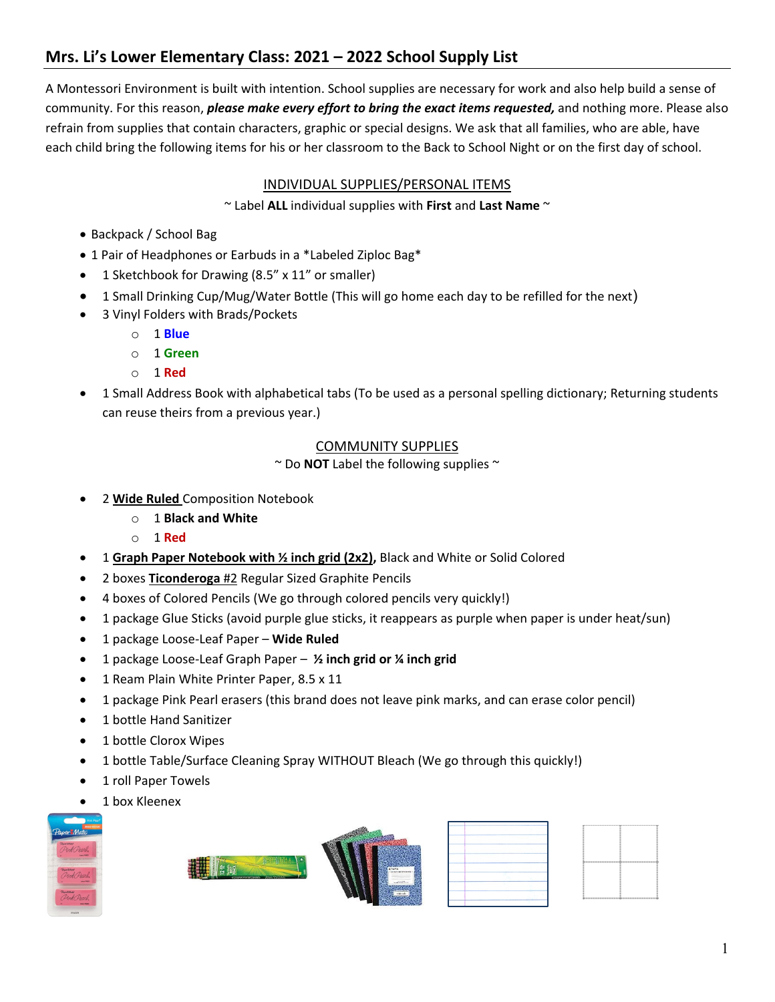# **Mrs. Li's Lower Elementary Class: 2021 – 2022 School Supply List**

A Montessori Environment is built with intention. School supplies are necessary for work and also help build a sense of community. For this reason, *please make every effort to bring the exact items requested,* and nothing more. Please also refrain from supplies that contain characters, graphic or special designs. We ask that all families, who are able, have each child bring the following items for his or her classroom to the Back to School Night or on the first day of school.

## INDIVIDUAL SUPPLIES/PERSONAL ITEMS

~ Label **ALL** individual supplies with **First** and **Last Name** ~

- Backpack / School Bag
- 1 Pair of Headphones or Earbuds in a \*Labeled Ziploc Bag\*
- 1 Sketchbook for Drawing (8.5" x 11" or smaller)
- 1 Small Drinking Cup/Mug/Water Bottle (This will go home each day to be refilled for the next)
- 3 Vinyl Folders with Brads/Pockets
	- o 1 **Blue**
	- o 1 **Green**
	- o 1 **Red**
- 1 Small Address Book with alphabetical tabs (To be used as a personal spelling dictionary; Returning students can reuse theirs from a previous year.)

### COMMUNITY SUPPLIES

~ Do **NOT** Label the following supplies ~

- 2 **Wide Ruled** Composition Notebook
	- o 1 **Black and White**
	- o 1 **Red**
- 1 **Graph Paper Notebook with ½ inch grid (2x2),** Black and White or Solid Colored
- 2 boxes **Ticonderoga** #2 Regular Sized Graphite Pencils
- 4 boxes of Colored Pencils (We go through colored pencils very quickly!)
- 1 package Glue Sticks (avoid purple glue sticks, it reappears as purple when paper is under heat/sun)
- 1 package Loose-Leaf Paper **Wide Ruled**
- 1 package Loose-Leaf Graph Paper **½ inch grid or ¼ inch grid**
- 1 Ream Plain White Printer Paper, 8.5 x 11
- 1 package Pink Pearl erasers (this brand does not leave pink marks, and can erase color pencil)
- 1 bottle Hand Sanitizer
- 1 bottle Clorox Wipes
- 1 bottle Table/Surface Cleaning Spray WITHOUT Bleach (We go through this quickly!)
- 1 roll Paper Towels
- 1 box Kleenex